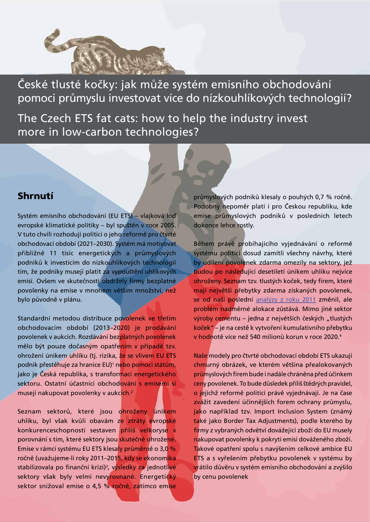České tlusté kočky: jak může systém emisního obchodování pomoci průmyslu investovat více do nízkouhlíkových technologií?

The Czech ETS fat cats: how to help the industry invest more in low-carbon technologies?

#### Shrnutí

Systém emisního obchodování (EU ETS) – vlajková loď evropské klimatické politiky – byl spuštěn v roce 2005. V tuto chvíli rozhodují politici o jeho reformě pro čtvrté obchodovací období (2021–2030). Systém má motivovat přibližně 11 tisíc energetických a průmyslových podniků k investicím do nízkouhlíkových technologií tím, že podniky musejí platit za vypouštění uhlíkových emisí. Ovšem ve skutečnosti obdržely firmy bezplatné povolenky na emise v mnohem větším množství, než bylo původně v plánu.

Standardní metodou distribuce povolenek ve třetím obchodovacím období (2013–2020) je prodávání povolenek v aukcích. Rozdávání bezplatných povolenek mělo být pouze dočasným opatřením v případě tzv. ohrožení únikem uhlíku (tj. rizika, že se vlivem EU ETS podnik přestěhuje za hranice EU)<sup>1</sup> n<mark>ebo pomoci státům,</mark> jako je Česká republika, s transformací energetického sektoru. Ostatní účastníci obchodování s emisemi si musejí nakupovat povolenky v aukcích.2

Seznam sektorů, které jsou ohroženy únikem uhlíku, byl však kvůli obavám ze ztráty evropské konkurenceschopnosti sestaven příliš velkoryse v porovnání s tím, které sektory jsou skutečně ohrožené. Emise v rámci systému EU ETS klesaly průměrně o 3,0 % ročně (uvažujeme-li roky 2011–2015, kdy se ekonomika stabilizovala po finanční krizi)<sup>3</sup>, výsledky za jednotli<mark>vé</mark> sektory však byly velmi nevyrovnané. Energetický sektor snižoval emise o 4,5 % ročně, zatímco emise

průmyslových podniků klesaly o pouhých 0,7 % ročně. Podobný nepoměr platí i pro Českou republiku, kde emise průmyslových podniků v posledních letech dokonce lehce rostly.

Během právě probíhajícího vyjednávání o reformě systému politici dosud zamítli všechny návrhy, které by udílení povolenek zdarma omezily na sektory, jež budou po následující desetiletí únikem uhlíku nejvíce ohroženy. Seznam tzv. tlustých koček, tedy firem, které mají největší přebytky zdarma získaných povolenek, se od naší poslední [analýzy z roku 2011](http://aa.ecn.cz/img_upload/eafd8382e68de047a49213a9ed52af69/czech-fa%250Dt-cats%250D-2011_final.pdf) změnil, ale problém nadměrné alokace zůstává. Mimo jiné sektor výroby cementu – jedna z největších českých "tlustých koček" – je na cestě k vytvoření kumulativního přebytku v hodnotě více než 540 milionů korun v roce 2020.4

Naše modely pro čtvrté obchodovací období ETS ukazují chmurný obrázek, ve kterém většina přealokovaných průmyslových firem bude i nadále chráněna před účinkem ceny povolenek. To bude důsledek příliš štědrých pravidel, o jejichž reformě politici právě vyjednávají. Je na čase zvážit zavedení účinnějších forem ochrany průmyslu, jako například tzv. Import Inclusion System (známý také jako Border Tax Adjustments), podle kterého by firmy z vybraných odvětví dovážející zboží do EU musely nakupovat povolenky k pokrytí emisí dováženého zboží. Takové opatření spolu s navýšením celkové ambice EU ETS a s vyřešením přebytku povolenek v systému by vrátilo důvěru v systém emisního obchodování a zvýšilo by cenu povolenek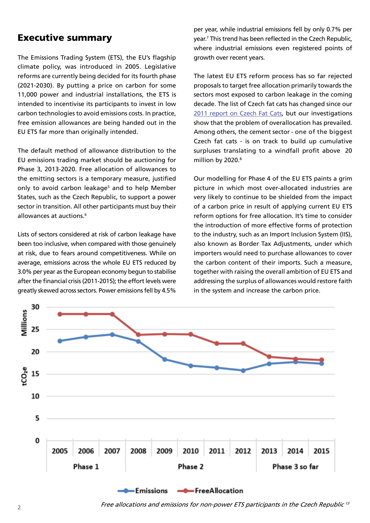### Executive summary

The Emissions Trading System (ETS), the EU's flagship climate policy, was introduced in 2005. Legislative reforms are currently being decided for its fourth phase (2021-2030). By putting a price on carbon for some 11,000 power and industrial installations, the ETS is intended to incentivise its participants to invest in low carbon technologies to avoid emissions costs. In practice, free emission allowances are being handed out in the EU ETS far more than originally intended.

The default method of allowance distribution to the EU emissions trading market should be auctioning for Phase 3, 2013-2020. Free allocation of allowances to the emitting sectors is a temporary measure, justified only to avoid carbon leakage<sup>5</sup> and to help Member States, such as the Czech Republic, to support a power sector in transition. All other participants must buy their allowances at auctions.6

Lists of sectors considered at risk of carbon leakage have been too inclusive, when compared with those genuinely at risk, due to fears around competitiveness. While on average, emissions across the whole EU ETS reduced by 3.0% per year as the European economy begun to stabilise after the financial crisis (2011-2015); the effort levels were greatly skewed across sectors. Power emissions fell by 4.5%

per year, while industrial emissions fell by only 0.7% per year.<sup>7</sup> This trend has been reflected in the Czech Republic, where industrial emissions even registered points of growth over recent years.

The latest EU ETS reform process has so far rejected proposals to target free allocation primarily towards the sectors most exposed to carbon leakage in the coming decade. The list of Czech fat cats has changed since our [2011 report on Czech Fat Cats](http://http://aa.ecn.cz/img_upload/eafd8382e68de047a49213a9ed52af69/czech-fa%250Dhttp://aa.ecn.cz/img_upload/eafd8382e68de047a49213a9ed52af69/czech-fa%250Dt-cats%250D-2011_final.pdf-2011_final.pdf), but our investigations show that the problem of overallocation has prevailed. Among others, the cement sector - one of the biggest Czech fat cats - is on track to build up cumulative surpluses translating to a windfall profit above 20 million by 2020.<sup>8</sup>

Our modelling for Phase 4 of the EU ETS paints a grim picture in which most over-allocated industries are very likely to continue to be shielded from the impact of a carbon price in result of applying current EU ETS reform options for free allocation. It's time to consider the introduction of more effective forms of protection to the industry, such as an Import Inclusion System (IIS), also known as Border Tax Adjustments, under which importers would need to purchase allowances to cover the carbon content of their imports. Such a measure, together with raising the overall ambition of EU ETS and addressing the surplus of allowances would restore faith in the system and increase the carbon price.

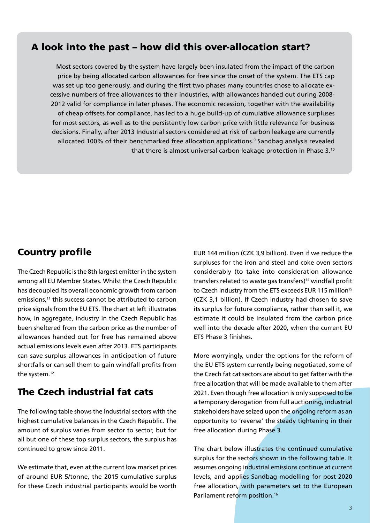## A look into the past – how did this over-allocation start?

Most sectors covered by the system have largely been insulated from the impact of the carbon price by being allocated carbon allowances for free since the onset of the system. The ETS cap was set up too generously, and during the first two phases many countries chose to allocate excessive numbers of free allowances to their industries, with allowances handed out during 2008- 2012 valid for compliance in later phases. The economic recession, together with the availability of cheap offsets for compliance, has led to a huge build-up of cumulative allowance surpluses for most sectors, as well as to the persistently low carbon price with little relevance for business decisions. Finally, after 2013 Industrial sectors considered at risk of carbon leakage are currently allocated 100% of their benchmarked free allocation applications.<sup>9</sup> Sandbag analysis revealed that there is almost universal carbon leakage protection in Phase 3.<sup>10</sup>

## Country profile

The Czech Republic is the 8th largest emitter in the system among all EU Member States. Whilst the Czech Republic has decoupled its overall economic growth from carbon emissions,<sup>11</sup> this success cannot be attributed to carbon price signals from the EU ETS. The chart at left illustrates how, in aggregate, industry in the Czech Republic has been sheltered from the carbon price as the number of allowances handed out for free has remained above actual emissions levels even after 2013. ETS participants can save surplus allowances in anticipation of future shortfalls or can sell them to gain windfall profits from the system.<sup>12</sup>

# The Czech industrial fat cats

The following table shows the industrial sectors with the highest cumulative balances in the Czech Republic. The amount of surplus varies from sector to sector, but for all but one of these top surplus sectors, the surplus has continued to grow since 2011.

We estimate that, even at the current low market prices of around EUR 5/tonne, the 2015 cumulative surplus for these Czech industrial participants would be worth

EUR 144 million (CZK 3,9 billion). Even if we reduce the surpluses for the iron and steel and coke oven sectors considerably (to take into consideration allowance transfers related to waste gas transfers)<sup>14</sup> windfall profit to Czech industry from the ETS exceeds EUR 115 million<sup>15</sup> (CZK 3,1 billion). If Czech industry had chosen to save its surplus for future compliance, rather than sell it, we estimate it could be insulated from the carbon price well into the decade after 2020, when the current EU ETS Phase 3 finishes.

More worryingly, under the options for the reform of the EU ETS system currently being negotiated, some of the Czech fat cat sectors are about to get fatter with the free allocation that will be made available to them after 2021. Even though free allocation is only supposed to be a temporary derogation from full auctioning, industrial stakeholders have seized upon the ongoing reform as an opportunity to 'reverse' the steady tightening in their free allocation during Phase 3.

The chart below illustrates the continued cumulative surplus for the sectors shown in the following table. It assumes ongoing industrial emissions continue at current levels, and applies Sandbag modelling for post-2020 free allocation, with parameters set to the European Parliament reform position.<sup>16</sup>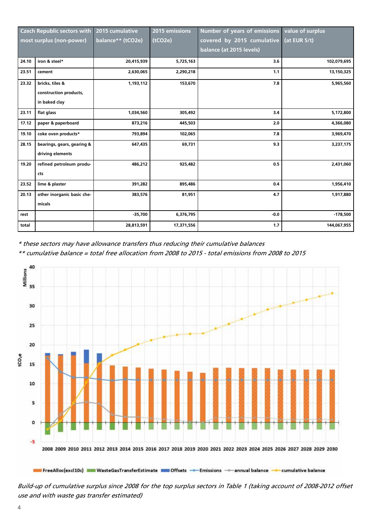| <b>Czech Republic sectors with</b> |                            | 2015 cumulative   | 2015 emissions | Number of years of emissions | value of surplus |
|------------------------------------|----------------------------|-------------------|----------------|------------------------------|------------------|
| most surplus (non-power)           |                            | balance** (tCO2e) | (tCO2e)        | covered by 2015 cumulative   | (at EUR $5/t$ )  |
|                                    |                            |                   |                | balance (at 2015 levels)     |                  |
| 24.10                              | iron & steel*              | 20,415,939        | 5,725,163      | 3.6                          | 102,079,695      |
| 23.51                              | cement                     | 2,630,065         | 2,290,218      | 1.1                          | 13,150,325       |
| 23.32                              | bricks, tiles &            | 1,193,112         | 153,670        | 7.8                          | 5,965,560        |
|                                    | construction products,     |                   |                |                              |                  |
|                                    | in baked clay              |                   |                |                              |                  |
| 23.11                              | flat glass                 | 1,034,560         | 305,492        | 3.4                          | 5,172,800        |
| 17.12                              | paper & paperboard         | 873,216           | 445,503        | 2.0                          | 4,366,080        |
| 19.10                              | coke oven products*        | 793,894           | 102,065        | 7.8                          | 3,969,470        |
| 28.15                              | bearings, gears, gearing & | 647,435           | 69,731         | 9.3                          | 3,237,175        |
|                                    | driving elements           |                   |                |                              |                  |
| 19.20                              | refined petroleum produ-   | 486,212           | 925,482        | 0.5                          | 2,431,060        |
|                                    | cts                        |                   |                |                              |                  |
| 23.52                              | lime & plaster             | 391,282           | 895,486        | 0.4                          | 1,956,410        |
| 20.13                              | other inorganic basic che- | 383,576           | 81,951         | 4.7                          | 1,917,880        |
|                                    | micals                     |                   |                |                              |                  |
| rest                               |                            | $-35,700$         | 6,376,795      | $-0.0$                       | $-178,500$       |
| total                              |                            | 28,813,591        | 17,371,556     | 1.7                          | 144,067,955      |

\* these sectors may have allowance transfers thus reducing their cumulative balances

\*\* cumulative balance = total free allocation from 2008 to 2015 - total emissions from 2008 to 2015



Build-up of cumulative surplus since 2008 for the top surplus sectors in Table 1 (taking account of 2008-2012 offset use and with waste gas transfer estimated)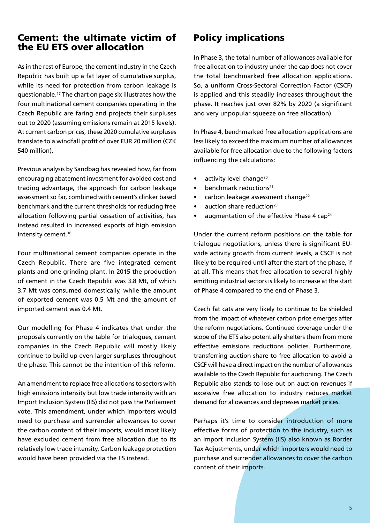### Cement: the ultimate victim of the EU ETS over allocation

As in the rest of Europe, the cement industry in the Czech Republic has built up a fat layer of cumulative surplus, while its need for protection from carbon leakage is questionable.17 The chart on page six illustrates how the four multinational cement companies operating in the Czech Republic are faring and projects their surpluses out to 2020 (assuming emissions remain at 2015 levels). At current carbon prices, these 2020 cumulative surpluses translate to a windfall profit of over EUR 20 million (CZK 540 million).

Previous analysis by Sandbag has revealed how, far from encouraging abatement investment for avoided cost and trading advantage, the approach for carbon leakage assessment so far, combined with cement's clinker based benchmark and the current thresholds for reducing free allocation following partial cessation of activities, has instead resulted in increased exports of high emission intensity cement.<sup>18</sup>

Four multinational cement companies operate in the Czech Republic. There are five integrated cement plants and one grinding plant. In 2015 the production of cement in the Czech Republic was 3.8 Mt, of which 3.7 Mt was consumed domestically, while the amount of exported cement was 0.5 Mt and the amount of imported cement was 0.4 Mt.

Our modelling for Phase 4 indicates that under the proposals currently on the table for trialogues, cement companies in the Czech Republic will mostly likely continue to build up even larger surpluses throughout the phase. This cannot be the intention of this reform.

An amendment to replace free allocations to sectors with high emissions intensity but low trade intensity with an Import Inclusion System (IIS) did not pass the Parliament vote. This amendment, under which importers would need to purchase and surrender allowances to cover the carbon content of their imports, would most likely have excluded cement from free allocation due to its relatively low trade intensity. Carbon leakage protection would have been provided via the IIS instead.

## Policy implications

In Phase 3, the total number of allowances available for free allocation to industry under the cap does not cover the total benchmarked free allocation applications. So, a uniform Cross-Sectoral Correction Factor (CSCF) is applied and this steadily increases throughout the phase. It reaches just over 82% by 2020 (a significant and very unpopular squeeze on free allocation).

In Phase 4, benchmarked free allocation applications are less likely to exceed the maximum number of allowances available for free allocation due to the following factors influencing the calculations:

- activity level change<sup>20</sup>
- $\bullet$  benchmark reductions<sup>21</sup>
- carbon leakage assessment change<sup>22</sup>
- $\bullet$  auction share reduction<sup>23</sup>
- augmentation of the effective Phase 4 cap<sup>24</sup>

Under the current reform positions on the table for trialogue negotiations, unless there is significant EUwide activity growth from current levels, a CSCF is not likely to be required until after the start of the phase, if at all. This means that free allocation to several highly emitting industrial sectors is likely to increase at the start of Phase 4 compared to the end of Phase 3.

Czech fat cats are very likely to continue to be shielded from the impact of whatever carbon price emerges after the reform negotiations. Continued coverage under the scope of the ETS also potentially shelters them from more effective emissions reductions policies. Furthermore, transferring auction share to free allocation to avoid a CSCF will have a direct impact on the number of allowances available to the Czech Republic for auctioning. The Czech Republic also stands to lose out on auction revenues if excessive free allocation to industry reduces market demand for allowances and depresses market prices.

Perhaps it's time to consider introduction of more effective forms of protection to the industry, such as an Import Inclusion System (IIS) also known as Border Tax Adjustments, under which importers would need to purchase and surrender allowances to cover the carbon content of their imports.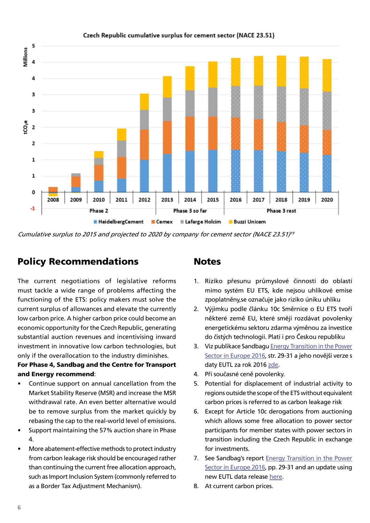

#### Czech Republic cumulative surplus for cement sector (NACE 23.51)

Cumulative surplus to 2015 and projected to 2020 by company for cement sector (NACE 23.51)<sup>19</sup>

# Policy Recommendations

The current negotiations of legislative reforms must tackle a wide range of problems affecting the functioning of the ETS: policy makers must solve the current surplus of allowances and elevate the currently low carbon price. A higher carbon price could become an economic opportunity for the Czech Republic, generating substantial auction revenues and incentivising inward investment in innovative low carbon technologies, but only if the overallocation to the industry diminishes.

#### For Phase 4, Sandbag and the Centre for Transport and Energy recommend:

- Continue support on annual cancellation from the Market Stability Reserve (MSR) and increase the MSR withdrawal rate. An even better alternative would be to remove surplus from the market quickly by rebasing the cap to the real-world level of emissions.
- Support maintaining the 57% auction share in Phase 4.
- More abatement-effective methods to protect industry from carbon leakage risk should be encouraged rather than continuing the current free allocation approach, such as Import Inclusion System (commonly referred to as a Border Tax Adjustment Mechanism).

#### **Notes**

- 1. Riziko přesunu průmyslové činnosti do oblastí mimo systém EU ETS, kde nejsou uhlíkové emise zpoplatněny,se označuje jako riziko úniku uhlíku
- 2. Výjimku podle článku 10c Směrnice o EU ETS tvoří některé země EU, které smějí rozdávat povolenky energetickému sektoru zdarma výměnou za investice do čistých technologií. Platí i pro Českou republiku
- 3. Viz publikace Sandbagu [Energy Transition in the Power](https://sandbag.org.uk/wp-content/uploads/2017/01/Energy-Transition-in-the-Power-Sector-in-Europe-2016.pdf)  [Sector in Europe 2016](https://sandbag.org.uk/wp-content/uploads/2017/01/Energy-Transition-in-the-Power-Sector-in-Europe-2016.pdf), str. 29-31 a jeho novější verze s daty EUTL za rok 2016 [zde.](https://sandbag.org.uk/project/new-data-eu-ets-emissions-2-7/)
- 4. Při současné ceně povolenky.
- 5. Potential for displacement of industrial activity to regions outside the scope of the ETS without equivalent carbon prices is referred to as carbon leakage risk
- 6. Except for Article 10c derogations from auctioning which allows some free allocation to power sector participants for member states with power sectors in transition including the Czech Republic in exchange for investments.
- 7. See Sandbag's report **Energy Transition in the Power** [Sector in Europe 2016](https://sandbag.org.uk/wp-content/uploads/2017/01/Energy-Transition-in-the-Power-Sector-in-Europe-2016.pdf), pp. 29-31 and an update using new EUTL data release [here](https://sandbag.org.uk/project/new-data-eu-ets-emissions-2-7/).
- 8. At current carbon prices.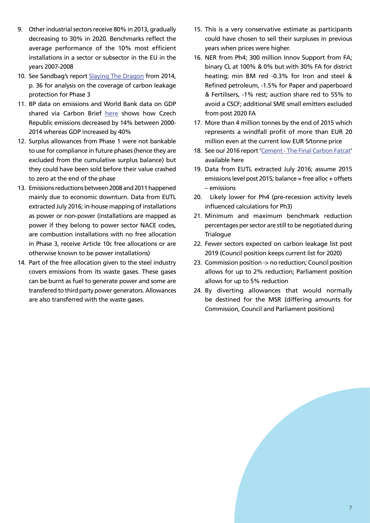- 9. Other industrial sectors receive 80% in 2013, gradually decreasing to 30% in 2020. Benchmarks reflect the average performance of the 10% most efficient installations in a sector or subsector in the EU in the years 2007-2008
- 10. See Sandbag's report [Slaying The Dragon](https://sandbag.org.uk/wp-content/uploads/2016/11/Sandbag-ETS2014-SlayingTheDragon.pdf) from 2014, p. 36 for analysis on the coverage of carbon leakage protection for Phase 3
- 11. BP data on emissions and World Bank data on GDP shared via Carbon Brief [here](https://www.carbonbrief.org/the-35-countries-cutting-the-link-between-economic-growth-and-emissions) shows how Czech Republic emissions decreased by 14% between 2000- 2014 whereas GDP increased by 40%
- 12. Surplus allowances from Phase 1 were not bankable to use for compliance in future phases (hence they are excluded from the cumulative surplus balance) but they could have been sold before their value crashed to zero at the end of the phase
- 13. Emissions reductions between 2008 and 2011 happened mainly due to economic downturn. Data from EUTL extracted July 2016; in-house mapping of installations as power or non-power (installations are mapped as power if they belong to power sector NACE codes, are combustion installations with no free allocation in Phase 3, receive Article 10c free allocations or are otherwise known to be power installations)
- 14. Part of the free allocation given to the steel industry covers emissions from its waste gases. These gases can be burnt as fuel to generate power and some are transfered to third party power generators. Allowances are also transferred with the waste gases.
- 15. This is a very conservative estimate as participants could have chosen to sell their surpluses in previous years when prices were higher.
- 16. NER from Ph4; 300 million Innov Support from FA; binary CL at 100% & 0% but with 30% FA for district heating; min BM red -0.3% for Iron and steel & Refined petroleum, -1.5% for Paper and paperboard & Fertilisers, -1% rest; auction share red to 55% to avoid a CSCF; additional SME small emitters excluded from post 2020 FA
- 17. More than 4 million tonnes by the end of 2015 which represents a windfall profit of more than EUR 20 million even at the current low EUR 5/tonne price
- 18. See our 2016 report '[Cement The Final Carbon Fatcat](https://sandbag.org.uk/project/cement-the-final-carbon-fatcat/)' available here
- 19. Data from EUTL extracted July 2016; assume 2015 emissions level post 2015; balance = free alloc + offsets – emissions
- 20. Likely lower for Ph4 (pre-recession activity levels influenced calculations for Ph3)
- 21. Minimum and maximum benchmark reduction percentages per sector are still to be negotiated during **Trialogue**
- 22. Fewer sectors expected on carbon leakage list post 2019 (Council position keeps current list for 2020)
- 23. Commission position -> no reduction; Council position allows for up to 2% reduction; Parliament position allows for up to 5% reduction
- 24. By diverting allowances that would normally be destined for the MSR (differing amounts for Commission, Council and Parliament positions)